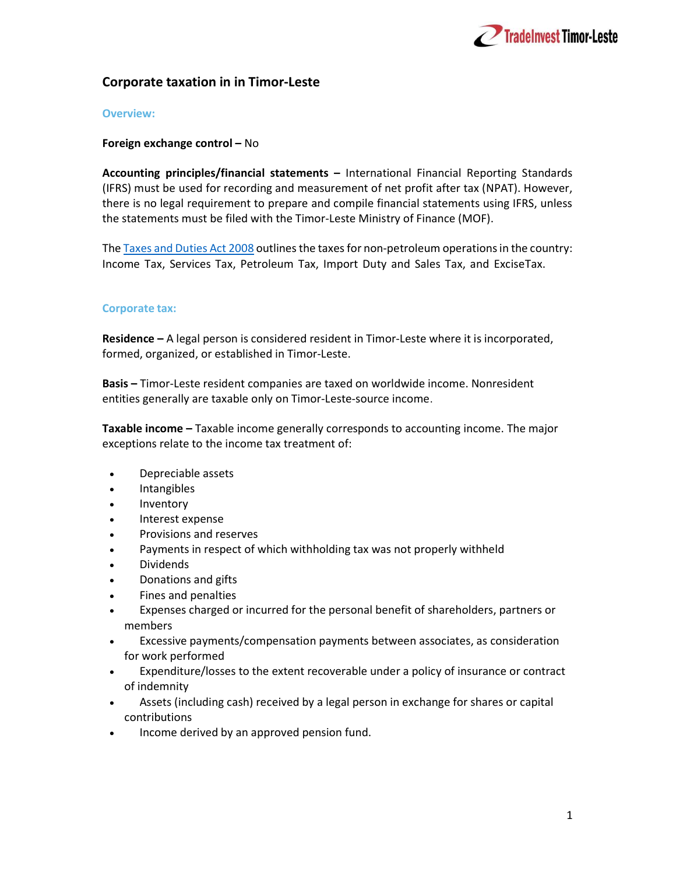

# Corporate taxation in in Timor-Leste

### Overview:

### Foreign exchange control – No

Accounting principles/financial statements – International Financial Reporting Standards (IFRS) must be used for recording and measurement of net profit after tax (NPAT). However, there is no legal requirement to prepare and compile financial statements using IFRS, unless the statements must be filed with the Timor-Leste Ministry of Finance (MOF).

The Taxes and Duties Act 2008 outlines the taxes for non-petroleum operations in the country: Income Tax, Services Tax, Petroleum Tax, Import Duty and Sales Tax, and Excise Tax.

## Corporate tax:

Residence – A legal person is considered resident in Timor-Leste where it is incorporated, formed, organized, or established in Timor-Leste.

Basis – Timor-Leste resident companies are taxed on worldwide income. Nonresident entities generally are taxable only on Timor-Leste-source income.

Taxable income – Taxable income generally corresponds to accounting income. The major exceptions relate to the income tax treatment of:

- Depreciable assets
- Intangibles
- Inventory
- Interest expense
- Provisions and reserves
- Payments in respect of which withholding tax was not properly withheld
- Dividends
- Donations and gifts
- Fines and penalties
- Expenses charged or incurred for the personal benefit of shareholders, partners or members
- Excessive payments/compensation payments between associates, as consideration for work performed
- Expenditure/losses to the extent recoverable under a policy of insurance or contract of indemnity
- Assets (including cash) received by a legal person in exchange for shares or capital contributions
- Income derived by an approved pension fund.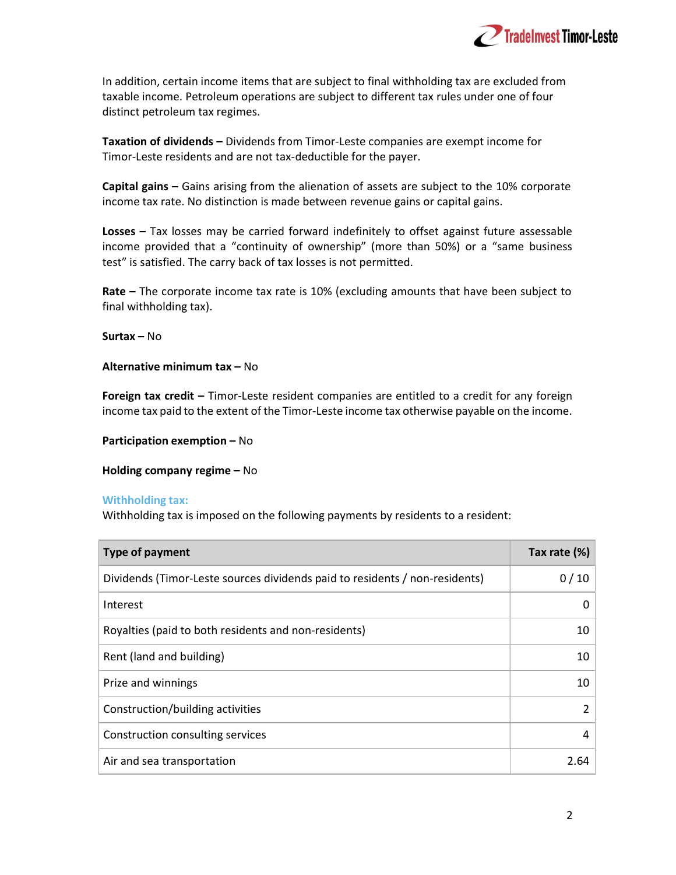

In addition, certain income items that are subject to final withholding tax are excluded from taxable income. Petroleum operations are subject to different tax rules under one of four distinct petroleum tax regimes.

Taxation of dividends – Dividends from Timor-Leste companies are exempt income for Timor-Leste residents and are not tax-deductible for the payer.

Capital gains – Gains arising from the alienation of assets are subject to the 10% corporate income tax rate. No distinction is made between revenue gains or capital gains.

Losses – Tax losses may be carried forward indefinitely to offset against future assessable income provided that a "continuity of ownership" (more than 50%) or a "same business test" is satisfied. The carry back of tax losses is not permitted.

Rate – The corporate income tax rate is 10% (excluding amounts that have been subject to final withholding tax).

Surtax – No

Alternative minimum tax – No

Foreign tax credit - Timor-Leste resident companies are entitled to a credit for any foreign income tax paid to the extent of the Timor-Leste income tax otherwise payable on the income.

Participation exemption – No

Holding company regime – No

#### Withholding tax:

Withholding tax is imposed on the following payments by residents to a resident:

| <b>Type of payment</b>                                                      | Tax rate (%)   |
|-----------------------------------------------------------------------------|----------------|
| Dividends (Timor-Leste sources dividends paid to residents / non-residents) | 0/10           |
| Interest                                                                    | 0              |
| Royalties (paid to both residents and non-residents)                        | 10             |
| Rent (land and building)                                                    | 10             |
| Prize and winnings                                                          | 10             |
| Construction/building activities                                            | $\mathfrak{p}$ |
| Construction consulting services                                            | 4              |
| Air and sea transportation                                                  | 2.64           |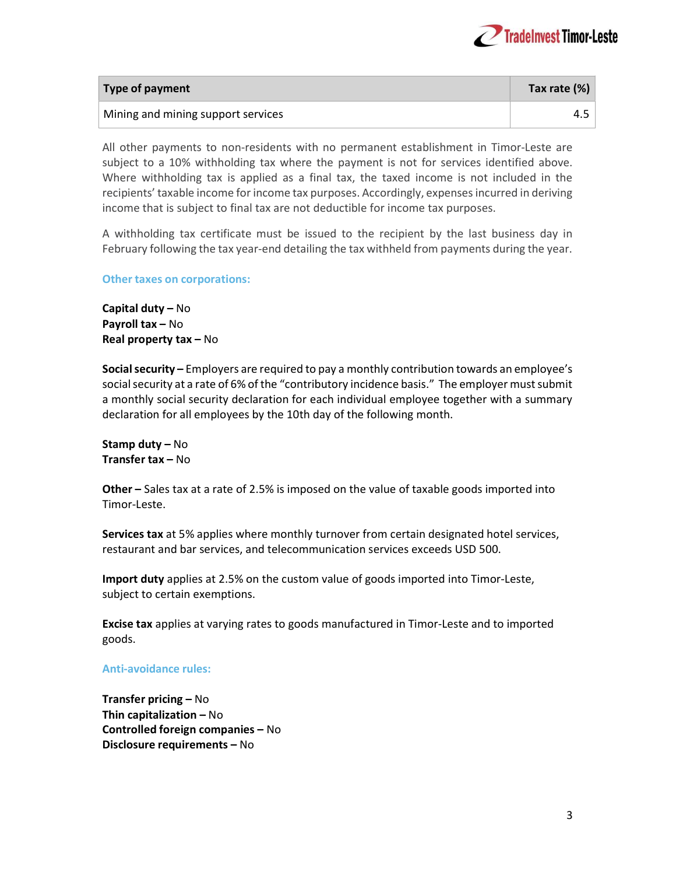

| Type of payment                    | Tax rate (%) |
|------------------------------------|--------------|
| Mining and mining support services | 4.J          |

All other payments to non-residents with no permanent establishment in Timor-Leste are subject to a 10% withholding tax where the payment is not for services identified above. Where withholding tax is applied as a final tax, the taxed income is not included in the recipients' taxable income for income tax purposes. Accordingly, expenses incurred in deriving income that is subject to final tax are not deductible for income tax purposes.

A withholding tax certificate must be issued to the recipient by the last business day in February following the tax year-end detailing the tax withheld from payments during the year.

#### Other taxes on corporations:

Capital duty – No Payroll tax – No Real property tax – No

Social security – Employers are required to pay a monthly contribution towards an employee's social security at a rate of 6% of the "contributory incidence basis." The employer must submit a monthly social security declaration for each individual employee together with a summary declaration for all employees by the 10th day of the following month.

Stamp duty – No Transfer tax – No

Other – Sales tax at a rate of 2.5% is imposed on the value of taxable goods imported into Timor-Leste.

Services tax at 5% applies where monthly turnover from certain designated hotel services, restaurant and bar services, and telecommunication services exceeds USD 500.

Import duty applies at 2.5% on the custom value of goods imported into Timor-Leste, subject to certain exemptions.

Excise tax applies at varying rates to goods manufactured in Timor-Leste and to imported goods.

### Anti-avoidance rules:

Transfer pricing – No Thin capitalization – No Controlled foreign companies – No Disclosure requirements – No